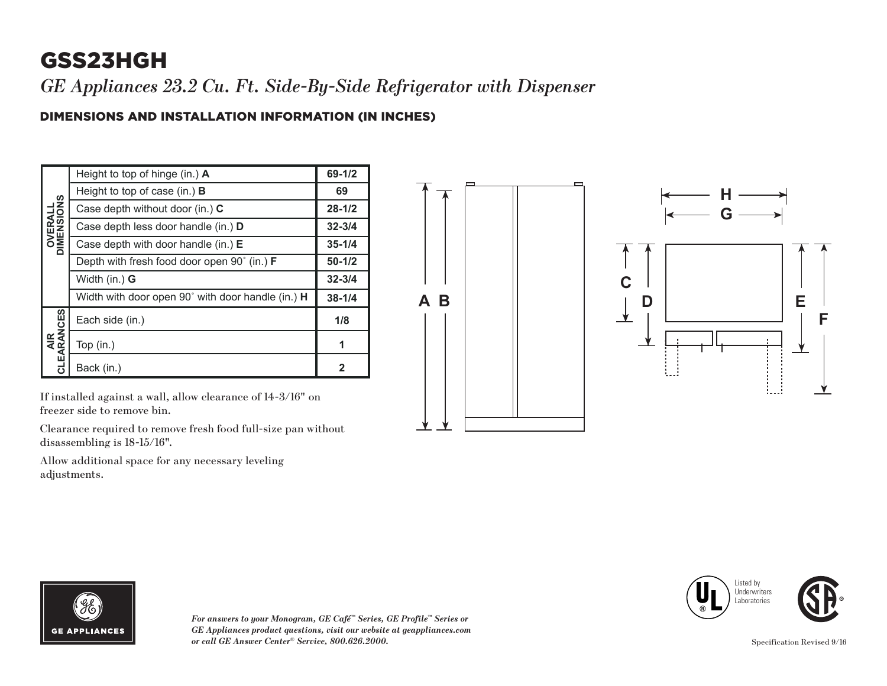# GSS23HGH

*GE Appliances 23.2 Cu. Ft. Side-By-Side Refrigerator with Dispenser*

#### DIMENSIONS AND INSTALLATION INFORMATION (IN INCHES)

| <b>OVERALL</b><br>DIMENSIONS | Height to top of hinge (in.) A                     | 69-1/2     |
|------------------------------|----------------------------------------------------|------------|
|                              | Height to top of case (in.) $\bf{B}$               | 69         |
|                              | Case depth without door (in.) C                    | $28 - 1/2$ |
|                              | Case depth less door handle (in.) D                | $32 - 3/4$ |
|                              | Case depth with door handle (in.) $E$              | $35 - 1/4$ |
|                              | Depth with fresh food door open 90° (in.) <b>F</b> | $50 - 1/2$ |
|                              | Width (in.) G                                      | $32 - 3/4$ |
|                              | Width with door open 90° with door handle (in.) H  | $38 - 1/4$ |
| AIR<br>CLEARANCES            | Each side (in.)                                    | 1/8        |
|                              | Top $(in.)$                                        |            |
|                              | Back (in.)                                         | 2          |

If installed against a wall, allow clearance of 14-3/16" on freezer side to remove bin.

Clearance required to remove fresh food full-size pan without disassembling is 18-15/16".

Allow additional space for any necessary leveling adjustments.





*For answers to your Monogram, GE Café™ Series, GE Profile™ Series or GE Appliances product questions, visit our website at geappliances.com or call GE Answer Center® Service, 800.626.2000.* Specification Revised 9/16